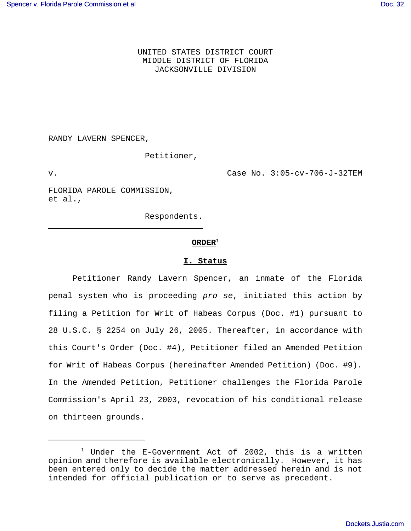UNITED STATES DISTRICT COURT MIDDLE DISTRICT OF FLORIDA JACKSONVILLE DIVISION

RANDY LAVERN SPENCER,

Petitioner,

 $\overline{\phantom{0}}$ 

v. Case No. 3:05-cv-706-J-32TEM

FLORIDA PAROLE COMMISSION, et al.,

Respondents.

## $ORDER<sup>1</sup>$

### **I. Status**

Petitioner Randy Lavern Spencer, an inmate of the Florida penal system who is proceeding *pro se*, initiated this action by filing a Petition for Writ of Habeas Corpus (Doc. #1) pursuant to 28 U.S.C. § 2254 on July 26, 2005. Thereafter, in accordance with this Court's Order (Doc. #4), Petitioner filed an Amended Petition for Writ of Habeas Corpus (hereinafter Amended Petition) (Doc. #9). In the Amended Petition, Petitioner challenges the Florida Parole Commission's April 23, 2003, revocation of his conditional release on thirteen grounds.

 $1$  Under the E-Government Act of 2002, this is a written opinion and therefore is available electronically. However, it has been entered only to decide the matter addressed herein and is not intended for official publication or to serve as precedent.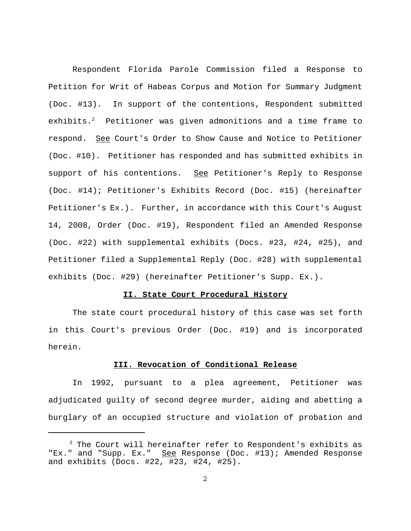Respondent Florida Parole Commission filed a Response to Petition for Writ of Habeas Corpus and Motion for Summary Judgment (Doc. #13). In support of the contentions, Respondent submitted exhibits.<sup>2</sup> Petitioner was given admonitions and a time frame to respond. See Court's Order to Show Cause and Notice to Petitioner (Doc. #10). Petitioner has responded and has submitted exhibits in support of his contentions. See Petitioner's Reply to Response (Doc. #14); Petitioner's Exhibits Record (Doc. #15) (hereinafter Petitioner's Ex.). Further, in accordance with this Court's August 14, 2008, Order (Doc. #19), Respondent filed an Amended Response (Doc. #22) with supplemental exhibits (Docs. #23, #24, #25), and Petitioner filed a Supplemental Reply (Doc. #28) with supplemental exhibits (Doc. #29) (hereinafter Petitioner's Supp. Ex.).

## **II. State Court Procedural History**

The state court procedural history of this case was set forth in this Court's previous Order (Doc. #19) and is incorporated herein.

## **III. Revocation of Conditional Release**

In 1992, pursuant to a plea agreement, Petitioner was adjudicated guilty of second degree murder, aiding and abetting a burglary of an occupied structure and violation of probation and

<sup>&</sup>lt;sup>2</sup> The Court will hereinafter refer to Respondent's exhibits as "Ex." and "Supp. Ex." See Response (Doc. #13); Amended Response and exhibits (Docs. #22, #23, #24, #25).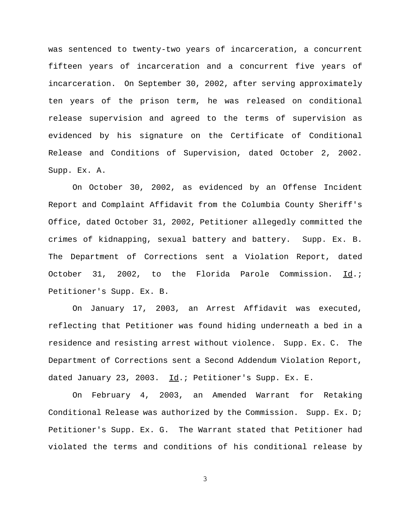was sentenced to twenty-two years of incarceration, a concurrent fifteen years of incarceration and a concurrent five years of incarceration. On September 30, 2002, after serving approximately ten years of the prison term, he was released on conditional release supervision and agreed to the terms of supervision as evidenced by his signature on the Certificate of Conditional Release and Conditions of Supervision, dated October 2, 2002. Supp. Ex. A.

On October 30, 2002, as evidenced by an Offense Incident Report and Complaint Affidavit from the Columbia County Sheriff's Office, dated October 31, 2002, Petitioner allegedly committed the crimes of kidnapping, sexual battery and battery. Supp. Ex. B. The Department of Corrections sent a Violation Report, dated October 31, 2002, to the Florida Parole Commission. Id.; Petitioner's Supp. Ex. B.

On January 17, 2003, an Arrest Affidavit was executed, reflecting that Petitioner was found hiding underneath a bed in a residence and resisting arrest without violence. Supp. Ex. C. The Department of Corrections sent a Second Addendum Violation Report, dated January 23, 2003. Id.; Petitioner's Supp. Ex. E.

On February 4, 2003, an Amended Warrant for Retaking Conditional Release was authorized by the Commission. Supp. Ex. D; Petitioner's Supp. Ex. G. The Warrant stated that Petitioner had violated the terms and conditions of his conditional release by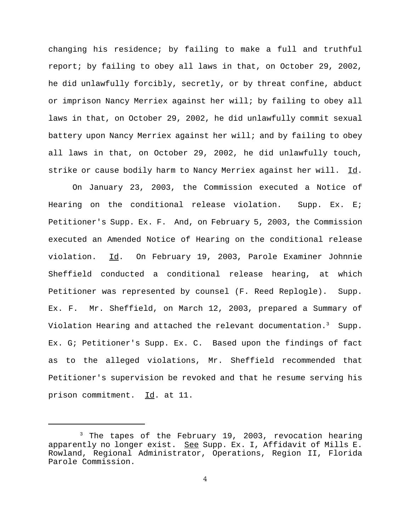changing his residence; by failing to make a full and truthful report; by failing to obey all laws in that, on October 29, 2002, he did unlawfully forcibly, secretly, or by threat confine, abduct or imprison Nancy Merriex against her will; by failing to obey all laws in that, on October 29, 2002, he did unlawfully commit sexual battery upon Nancy Merriex against her will; and by failing to obey all laws in that, on October 29, 2002, he did unlawfully touch, strike or cause bodily harm to Nancy Merriex against her will. Id.

On January 23, 2003, the Commission executed a Notice of Hearing on the conditional release violation. Supp. Ex. E; Petitioner's Supp. Ex. F. And, on February 5, 2003, the Commission executed an Amended Notice of Hearing on the conditional release violation. Id. On February 19, 2003, Parole Examiner Johnnie Sheffield conducted a conditional release hearing, at which Petitioner was represented by counsel (F. Reed Replogle). Supp. Ex. F. Mr. Sheffield, on March 12, 2003, prepared a Summary of Violation Hearing and attached the relevant documentation.<sup>3</sup> Supp. Ex. G; Petitioner's Supp. Ex. C. Based upon the findings of fact as to the alleged violations, Mr. Sheffield recommended that Petitioner's supervision be revoked and that he resume serving his prison commitment. Id. at 11.

 <sup>3</sup>  $3$  The tapes of the February 19, 2003, revocation hearing apparently no longer exist. See Supp. Ex. I, Affidavit of Mills E. Rowland, Regional Administrator, Operations, Region II, Florida Parole Commission.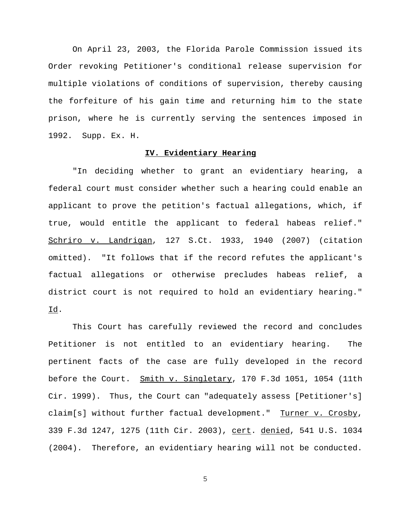On April 23, 2003, the Florida Parole Commission issued its Order revoking Petitioner's conditional release supervision for multiple violations of conditions of supervision, thereby causing the forfeiture of his gain time and returning him to the state prison, where he is currently serving the sentences imposed in 1992. Supp. Ex. H.

# **IV. Evidentiary Hearing**

"In deciding whether to grant an evidentiary hearing, a federal court must consider whether such a hearing could enable an applicant to prove the petition's factual allegations, which, if true, would entitle the applicant to federal habeas relief." Schriro v. Landrigan, 127 S.Ct. 1933, 1940 (2007) (citation omitted). "It follows that if the record refutes the applicant's factual allegations or otherwise precludes habeas relief, a district court is not required to hold an evidentiary hearing." Id.

This Court has carefully reviewed the record and concludes Petitioner is not entitled to an evidentiary hearing. The pertinent facts of the case are fully developed in the record before the Court. Smith v. Singletary, 170 F.3d 1051, 1054 (11th Cir. 1999). Thus, the Court can "adequately assess [Petitioner's] claim[s] without further factual development." Turner v. Crosby, 339 F.3d 1247, 1275 (11th Cir. 2003), cert. denied, 541 U.S. 1034 (2004). Therefore, an evidentiary hearing will not be conducted.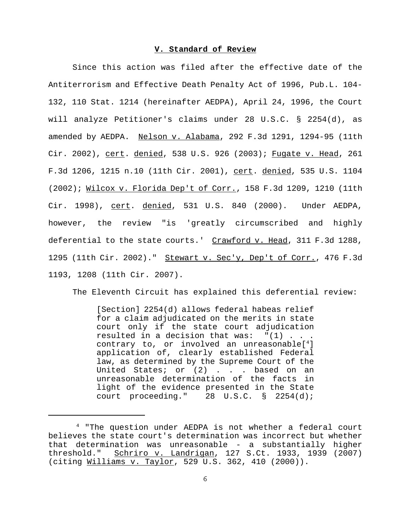## **V. Standard of Review**

Since this action was filed after the effective date of the Antiterrorism and Effective Death Penalty Act of 1996, Pub.L. 104- 132, 110 Stat. 1214 (hereinafter AEDPA), April 24, 1996, the Court will analyze Petitioner's claims under 28 U.S.C. § 2254(d), as amended by AEDPA. Nelson v. Alabama, 292 F.3d 1291, 1294-95 (11th Cir. 2002), cert. denied, 538 U.S. 926 (2003); Fugate v. Head, 261 F.3d 1206, 1215 n.10 (11th Cir. 2001), <u>cert</u>. <u>denied</u>, 535 U.S. 1104 (2002); Wilcox v. Florida Dep't of Corr., 158 F.3d 1209, 1210 (11th Cir. 1998), cert. denied, 531 U.S. 840 (2000). Under AEDPA, however, the review "is 'greatly circumscribed and highly deferential to the state courts.' Crawford v. Head, 311 F.3d 1288, 1295 (11th Cir. 2002)." Stewart v. Sec'y, Dep't of Corr., 476 F.3d 1193, 1208 (11th Cir. 2007).

The Eleventh Circuit has explained this deferential review:

[Section] 2254(d) allows federal habeas relief for a claim adjudicated on the merits in state court only if the state court adjudication resulted in a decision that was:  $"(1)$  . . . contrary to, or involved an unreasonable[<sup>4</sup>] application of, clearly established Federal law, as determined by the Supreme Court of the United States; or (2) . . . based on an unreasonable determination of the facts in light of the evidence presented in the State court proceeding." 28 U.S.C. § 2254(d);

 <sup>4 &</sup>quot;The question under AEDPA is not whether a federal court believes the state court's determination was incorrect but whether that determination was unreasonable - a substantially higher threshold." Schriro v. Landrigan, 127 S.Ct. 1933, 1939 (2007) (citing Williams v. Taylor, 529 U.S. 362, 410 (2000)).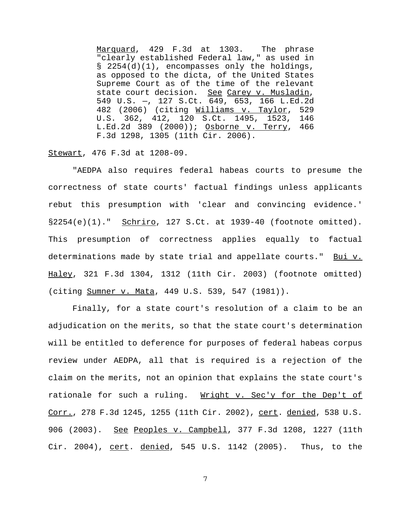Marquard, 429 F.3d at 1303. The phrase "clearly established Federal law," as used in § 2254(d)(1), encompasses only the holdings, as opposed to the dicta, of the United States Supreme Court as of the time of the relevant state court decision. See Carey v. Musladin, 549 U.S. —, 127 S.Ct. 649, 653, 166 L.Ed.2d 482 (2006) (citing Williams v. Taylor, 529 U.S. 362, 412, 120 S.Ct. 1495, 1523, 146 L.Ed.2d 389 (2000)); Osborne v. Terry, 466 F.3d 1298, 1305 (11th Cir. 2006).

Stewart, 476 F.3d at 1208-09.

"AEDPA also requires federal habeas courts to presume the correctness of state courts' factual findings unless applicants rebut this presumption with 'clear and convincing evidence.'  $§2254(e)(1)$ ." Schriro, 127 S.Ct. at 1939-40 (footnote omitted). This presumption of correctness applies equally to factual determinations made by state trial and appellate courts." Bui v. Haley, 321 F.3d 1304, 1312 (11th Cir. 2003) (footnote omitted) (citing Sumner v. Mata, 449 U.S. 539, 547 (1981)).

Finally, for a state court's resolution of a claim to be an adjudication on the merits, so that the state court's determination will be entitled to deference for purposes of federal habeas corpus review under AEDPA, all that is required is a rejection of the claim on the merits, not an opinion that explains the state court's rationale for such a ruling. Wright v. Sec'y for the Dep't of Corr., 278 F.3d 1245, 1255 (11th Cir. 2002), cert. denied, 538 U.S. 906 (2003). See Peoples v. Campbell, 377 F.3d 1208, 1227 (11th Cir. 2004), cert. denied, 545 U.S. 1142 (2005). Thus, to the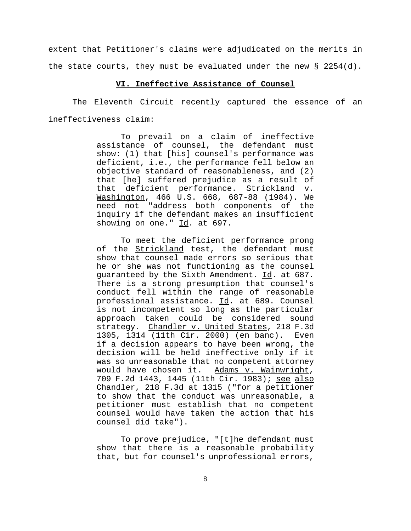extent that Petitioner's claims were adjudicated on the merits in the state courts, they must be evaluated under the new  $\S$  2254(d).

### **VI. Ineffective Assistance of Counsel**

The Eleventh Circuit recently captured the essence of an ineffectiveness claim:

> To prevail on a claim of ineffective assistance of counsel, the defendant must show: (1) that [his] counsel's performance was deficient, i.e., the performance fell below an objective standard of reasonableness, and (2) that [he] suffered prejudice as a result of that deficient performance. Strickland v. Washington, 466 U.S. 668, 687-88 (1984). We need not "address both components of the inquiry if the defendant makes an insufficient showing on one."  $\underline{Id}$ . at 697.

> To meet the deficient performance prong of the Strickland test, the defendant must show that counsel made errors so serious that he or she was not functioning as the counsel guaranteed by the Sixth Amendment. Id. at 687. There is a strong presumption that counsel's conduct fell within the range of reasonable professional assistance. Id. at 689. Counsel is not incompetent so long as the particular approach taken could be considered sound strategy. Chandler v. United States, 218 F.3d 1305, 1314 (11th Cir. 2000) (en banc). Even if a decision appears to have been wrong, the decision will be held ineffective only if it was so unreasonable that no competent attorney would have chosen it. Adams v. Wainwright, 709 F.2d 1443, 1445 (11th Cir. 1983); see also Chandler, 218 F.3d at 1315 ("for a petitioner to show that the conduct was unreasonable, a petitioner must establish that no competent counsel would have taken the action that his counsel did take").

To prove prejudice, "[t]he defendant must show that there is a reasonable probability that, but for counsel's unprofessional errors,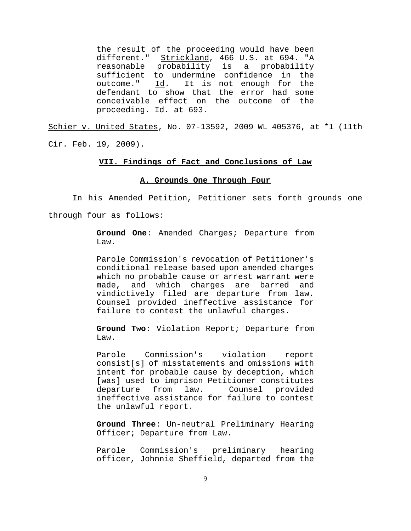the result of the proceeding would have been different." Strickland, 466 U.S. at 694. "A reasonable probability is a probability sufficient to undermine confidence in the outcome."  $\underline{Id}$ . It is not enough for the defendant to show that the error had some conceivable effect on the outcome of the proceeding. Id. at 693.

Schier v. United States, No. 07-13592, 2009 WL 405376, at \*1 (11th Cir. Feb. 19, 2009).

## **VII. Findings of Fact and Conclusions of Law**

### **A. Grounds One Through Four**

In his Amended Petition, Petitioner sets forth grounds one through four as follows:

> **Ground One**: Amended Charges; Departure from Law.

> Parole Commission's revocation of Petitioner's conditional release based upon amended charges which no probable cause or arrest warrant were made, and which charges are barred and vindictively filed are departure from law. Counsel provided ineffective assistance for failure to contest the unlawful charges.

> **Ground Two**: Violation Report; Departure from Law.

> Parole Commission's violation report consist[s] of misstatements and omissions with intent for probable cause by deception, which [was] used to imprison Petitioner constitutes departure from law. Counsel provided ineffective assistance for failure to contest the unlawful report.

> **Ground Three**: Un-neutral Preliminary Hearing Officer; Departure from Law.

> Parole Commission's preliminary hearing officer, Johnnie Sheffield, departed from the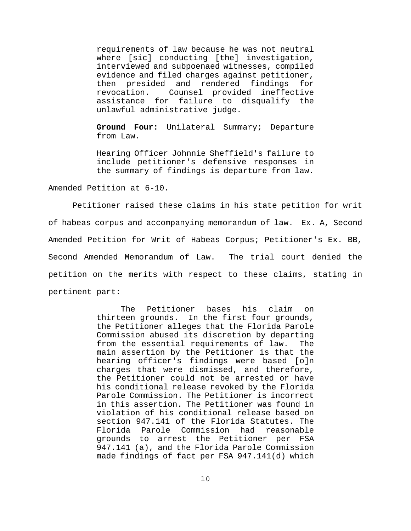requirements of law because he was not neutral where [sic] conducting [the] investigation, interviewed and subpoenaed witnesses, compiled evidence and filed charges against petitioner, then presided and rendered findings for revocation. Counsel provided ineffective assistance for failure to disqualify the unlawful administrative judge.

**Ground Four:** Unilateral Summary; Departure from Law.

Hearing Officer Johnnie Sheffield's failure to include petitioner's defensive responses in the summary of findings is departure from law.

Amended Petition at 6-10.

Petitioner raised these claims in his state petition for writ of habeas corpus and accompanying memorandum of law. Ex. A, Second Amended Petition for Writ of Habeas Corpus; Petitioner's Ex. BB, Second Amended Memorandum of Law. The trial court denied the petition on the merits with respect to these claims, stating in pertinent part:

> The Petitioner bases his claim on thirteen grounds. In the first four grounds, the Petitioner alleges that the Florida Parole Commission abused its discretion by departing from the essential requirements of law. The main assertion by the Petitioner is that the hearing officer's findings were based [o]n charges that were dismissed, and therefore, the Petitioner could not be arrested or have his conditional release revoked by the Florida Parole Commission. The Petitioner is incorrect in this assertion. The Petitioner was found in violation of his conditional release based on section 947.141 of the Florida Statutes. The Florida Parole Commission had reasonable grounds to arrest the Petitioner per FSA 947.141 (a), and the Florida Parole Commission made findings of fact per FSA 947.141(d) which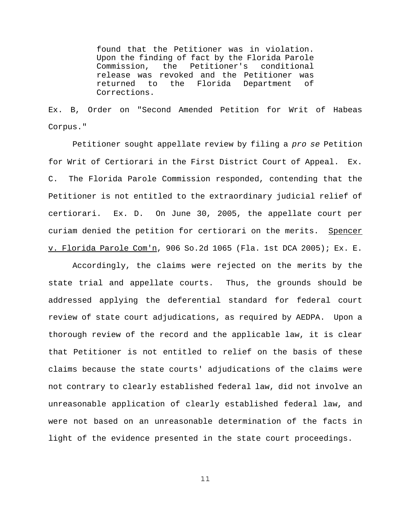found that the Petitioner was in violation. Upon the finding of fact by the Florida Parole Commission, the Petitioner's conditional release was revoked and the Petitioner was returned to the Florida Department of Corrections.

Ex. B, Order on "Second Amended Petition for Writ of Habeas Corpus."

Petitioner sought appellate review by filing a *pro se* Petition for Writ of Certiorari in the First District Court of Appeal. Ex. C. The Florida Parole Commission responded, contending that the Petitioner is not entitled to the extraordinary judicial relief of certiorari. Ex. D. On June 30, 2005, the appellate court per curiam denied the petition for certiorari on the merits. Spencer v. Florida Parole Com'n, 906 So.2d 1065 (Fla. 1st DCA 2005); Ex. E.

Accordingly, the claims were rejected on the merits by the state trial and appellate courts. Thus, the grounds should be addressed applying the deferential standard for federal court review of state court adjudications, as required by AEDPA. Upon a thorough review of the record and the applicable law, it is clear that Petitioner is not entitled to relief on the basis of these claims because the state courts' adjudications of the claims were not contrary to clearly established federal law, did not involve an unreasonable application of clearly established federal law, and were not based on an unreasonable determination of the facts in light of the evidence presented in the state court proceedings.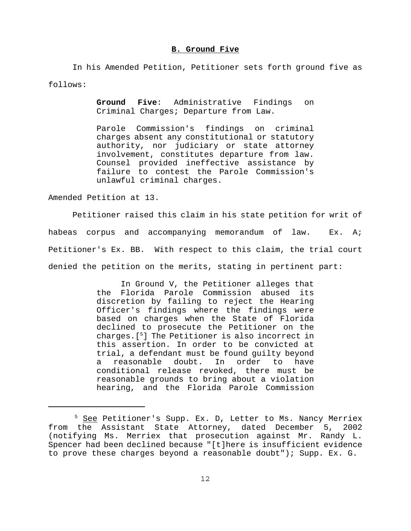#### **B. Ground Five**

In his Amended Petition, Petitioner sets forth ground five as follows:

> **Ground Five**: Administrative Findings on Criminal Charges; Departure from Law.

> Parole Commission's findings on criminal charges absent any constitutional or statutory authority, nor judiciary or state attorney involvement, constitutes departure from law. Counsel provided ineffective assistance by failure to contest the Parole Commission's unlawful criminal charges.

Amended Petition at 13.

Petitioner raised this claim in his state petition for writ of habeas corpus and accompanying memorandum of law. Ex. A; Petitioner's Ex. BB. With respect to this claim, the trial court denied the petition on the merits, stating in pertinent part:

> In Ground V, the Petitioner alleges that the Florida Parole Commission abused its discretion by failing to reject the Hearing Officer's findings where the findings were based on charges when the State of Florida declined to prosecute the Petitioner on the charges.[5] The Petitioner is also incorrect in this assertion. In order to be convicted at trial, a defendant must be found guilty beyond a reasonable doubt. In order to have conditional release revoked, there must be reasonable grounds to bring about a violation hearing, and the Florida Parole Commission

<sup>&</sup>lt;sup>5</sup> See Petitioner's Supp. Ex. D, Letter to Ms. Nancy Merriex from the Assistant State Attorney, dated December 5, 2002 (notifying Ms. Merriex that prosecution against Mr. Randy L. Spencer had been declined because "[t]here is insufficient evidence to prove these charges beyond a reasonable doubt"); Supp. Ex. G.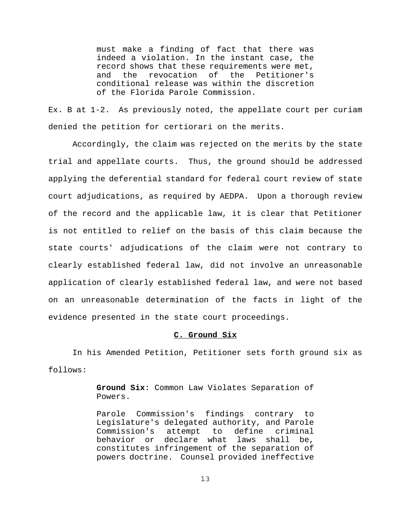must make a finding of fact that there was indeed a violation. In the instant case, the record shows that these requirements were met, and the revocation of the Petitioner's conditional release was within the discretion of the Florida Parole Commission.

Ex. B at 1-2. As previously noted, the appellate court per curiam denied the petition for certiorari on the merits.

Accordingly, the claim was rejected on the merits by the state trial and appellate courts. Thus, the ground should be addressed applying the deferential standard for federal court review of state court adjudications, as required by AEDPA. Upon a thorough review of the record and the applicable law, it is clear that Petitioner is not entitled to relief on the basis of this claim because the state courts' adjudications of the claim were not contrary to clearly established federal law, did not involve an unreasonable application of clearly established federal law, and were not based on an unreasonable determination of the facts in light of the evidence presented in the state court proceedings.

### **C. Ground Six**

In his Amended Petition, Petitioner sets forth ground six as follows:

> **Ground Six**: Common Law Violates Separation of Powers.

> Parole Commission's findings contrary to Legislature's delegated authority, and Parole Commission's attempt to define criminal behavior or declare what laws shall be, constitutes infringement of the separation of powers doctrine. Counsel provided ineffective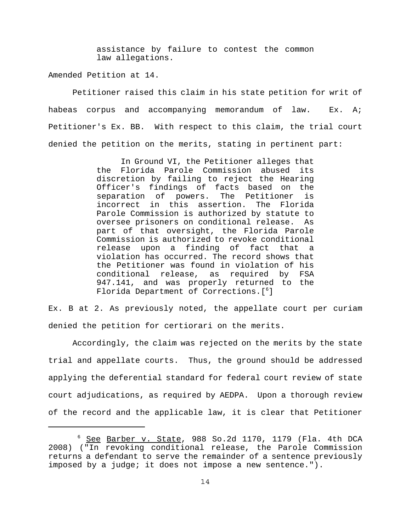assistance by failure to contest the common law allegations.

Amended Petition at 14.

Petitioner raised this claim in his state petition for writ of habeas corpus and accompanying memorandum of law. Ex. A; Petitioner's Ex. BB. With respect to this claim, the trial court denied the petition on the merits, stating in pertinent part:

> In Ground VI, the Petitioner alleges that the Florida Parole Commission abused its discretion by failing to reject the Hearing Officer's findings of facts based on the separation of powers. The Petitioner is incorrect in this assertion. The Florida Parole Commission is authorized by statute to oversee prisoners on conditional release. As part of that oversight, the Florida Parole Commission is authorized to revoke conditional release upon a finding of fact that a violation has occurred. The record shows that the Petitioner was found in violation of his conditional release, as required by FSA 947.141, and was properly returned to the Florida Department of Corrections.[6 ]

Ex. B at 2. As previously noted, the appellate court per curiam denied the petition for certiorari on the merits.

Accordingly, the claim was rejected on the merits by the state trial and appellate courts. Thus, the ground should be addressed applying the deferential standard for federal court review of state court adjudications, as required by AEDPA. Upon a thorough review of the record and the applicable law, it is clear that Petitioner

<sup>&</sup>lt;sup>6</sup> See Barber v. State, 988 So.2d 1170, 1179 (Fla. 4th DCA 2008) ("In revoking conditional release, the Parole Commission returns a defendant to serve the remainder of a sentence previously imposed by a judge; it does not impose a new sentence.").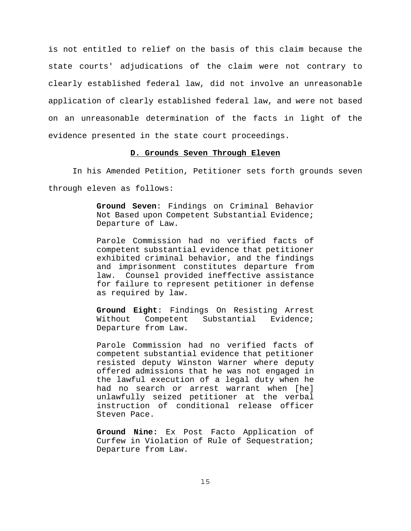is not entitled to relief on the basis of this claim because the state courts' adjudications of the claim were not contrary to clearly established federal law, did not involve an unreasonable application of clearly established federal law, and were not based on an unreasonable determination of the facts in light of the evidence presented in the state court proceedings.

## **D. Grounds Seven Through Eleven**

In his Amended Petition, Petitioner sets forth grounds seven

through eleven as follows:

**Ground Seven**: Findings on Criminal Behavior Not Based upon Competent Substantial Evidence; Departure of Law.

Parole Commission had no verified facts of competent substantial evidence that petitioner exhibited criminal behavior, and the findings and imprisonment constitutes departure from law. Counsel provided ineffective assistance for failure to represent petitioner in defense as required by law.

**Ground Eight**: Findings On Resisting Arrest Without Competent Substantial Evidence; Departure from Law.

Parole Commission had no verified facts of competent substantial evidence that petitioner resisted deputy Winston Warner where deputy offered admissions that he was not engaged in the lawful execution of a legal duty when he had no search or arrest warrant when [he] unlawfully seized petitioner at the verbal instruction of conditional release officer Steven Pace.

**Ground Nine:** Ex Post Facto Application of Curfew in Violation of Rule of Sequestration; Departure from Law.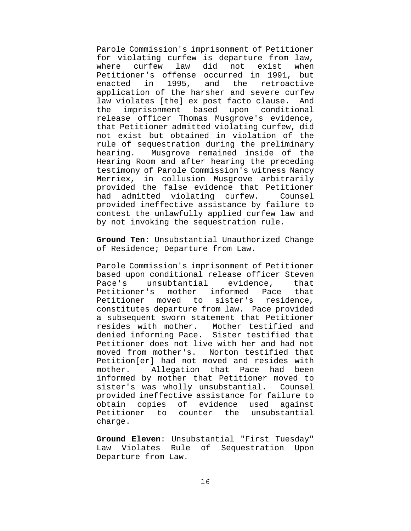Parole Commission's imprisonment of Petitioner for violating curfew is departure from law, where curfew law did not exist when Petitioner's offense occurred in 1991, but enacted in 1995, and the retroactive application of the harsher and severe curfew law violates [the] ex post facto clause. And the imprisonment based upon conditional release officer Thomas Musgrove's evidence, that Petitioner admitted violating curfew, did not exist but obtained in violation of the rule of sequestration during the preliminary hearing. Musgrove remained inside of the Hearing Room and after hearing the preceding testimony of Parole Commission's witness Nancy Merriex, in collusion Musgrove arbitrarily provided the false evidence that Petitioner had admitted violating curfew. Counsel provided ineffective assistance by failure to contest the unlawfully applied curfew law and by not invoking the sequestration rule.

**Ground Ten**: Unsubstantial Unauthorized Change of Residence; Departure from Law.

Parole Commission's imprisonment of Petitioner based upon conditional release officer Steven Pace's unsubtantial evidence, that Petitioner's mother informed Pace that Petitioner moved to sister's residence, constitutes departure from law. Pace provided a subsequent sworn statement that Petitioner resides with mother. Mother testified and denied informing Pace. Sister testified that Petitioner does not live with her and had not moved from mother's. Norton testified that Petition[er] had not moved and resides with mother. Allegation that Pace had been informed by mother that Petitioner moved to sister's was wholly unsubstantial. Counsel provided ineffective assistance for failure to obtain copies of evidence used against Petitioner to counter the unsubstantial charge.

**Ground Eleven**: Unsubstantial "First Tuesday" Law Violates Rule of Sequestration Upon Departure from Law.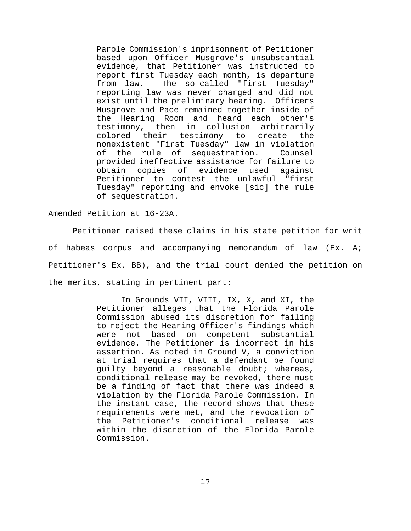Parole Commission's imprisonment of Petitioner based upon Officer Musgrove's unsubstantial evidence, that Petitioner was instructed to report first Tuesday each month, is departure from law. The so-called "first Tuesday" reporting law was never charged and did not exist until the preliminary hearing. Officers Musgrove and Pace remained together inside of the Hearing Room and heard each other's testimony, then in collusion arbitrarily colored their testimony to create the nonexistent "First Tuesday" law in violation of the rule of sequestration. Counsel provided ineffective assistance for failure to obtain copies of evidence used against Petitioner to contest the unlawful "first Tuesday" reporting and envoke [sic] the rule of sequestration.

Amended Petition at 16-23A.

Petitioner raised these claims in his state petition for writ of habeas corpus and accompanying memorandum of law (Ex. A; Petitioner's Ex. BB), and the trial court denied the petition on the merits, stating in pertinent part:

> In Grounds VII, VIII, IX, X, and XI, the Petitioner alleges that the Florida Parole Commission abused its discretion for failing to reject the Hearing Officer's findings which were not based on competent substantial evidence. The Petitioner is incorrect in his assertion. As noted in Ground V, a conviction at trial requires that a defendant be found guilty beyond a reasonable doubt; whereas, conditional release may be revoked, there must be a finding of fact that there was indeed a violation by the Florida Parole Commission. In the instant case, the record shows that these requirements were met, and the revocation of the Petitioner's conditional release was within the discretion of the Florida Parole Commission.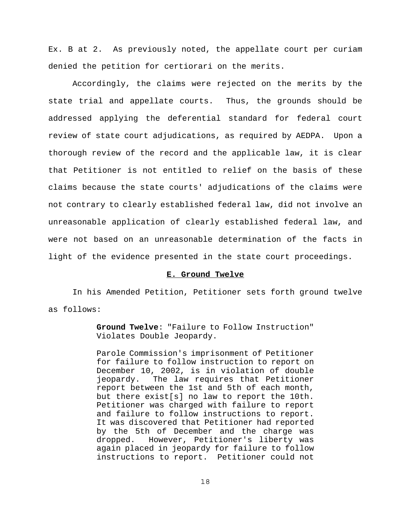Ex. B at 2. As previously noted, the appellate court per curiam denied the petition for certiorari on the merits.

Accordingly, the claims were rejected on the merits by the state trial and appellate courts. Thus, the grounds should be addressed applying the deferential standard for federal court review of state court adjudications, as required by AEDPA. Upon a thorough review of the record and the applicable law, it is clear that Petitioner is not entitled to relief on the basis of these claims because the state courts' adjudications of the claims were not contrary to clearly established federal law, did not involve an unreasonable application of clearly established federal law, and were not based on an unreasonable determination of the facts in light of the evidence presented in the state court proceedings.

### **E. Ground Twelve**

In his Amended Petition, Petitioner sets forth ground twelve as follows:

> **Ground Twelve**: "Failure to Follow Instruction" Violates Double Jeopardy.

> Parole Commission's imprisonment of Petitioner for failure to follow instruction to report on December 10, 2002, is in violation of double jeopardy. The law requires that Petitioner report between the 1st and 5th of each month, but there exist[s] no law to report the 10th. Petitioner was charged with failure to report and failure to follow instructions to report. It was discovered that Petitioner had reported by the 5th of December and the charge was dropped. However, Petitioner's liberty was again placed in jeopardy for failure to follow instructions to report. Petitioner could not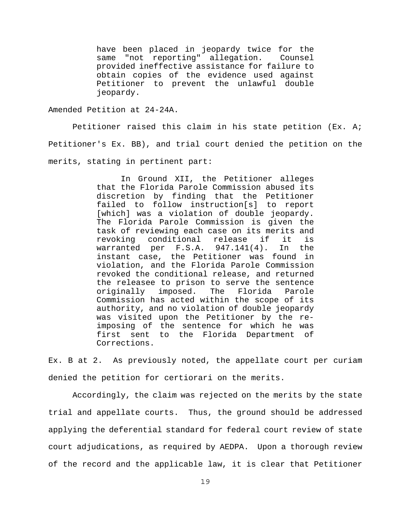have been placed in jeopardy twice for the same "not reporting" allegation. Counsel provided ineffective assistance for failure to obtain copies of the evidence used against Petitioner to prevent the unlawful double jeopardy.

Amended Petition at 24-24A.

Petitioner raised this claim in his state petition (Ex. A; Petitioner's Ex. BB), and trial court denied the petition on the merits, stating in pertinent part:

> In Ground XII, the Petitioner alleges that the Florida Parole Commission abused its discretion by finding that the Petitioner failed to follow instruction[s] to report [which] was a violation of double jeopardy. The Florida Parole Commission is given the task of reviewing each case on its merits and revoking conditional release if it is warranted per F.S.A. 947.141(4). In the instant case, the Petitioner was found in violation, and the Florida Parole Commission revoked the conditional release, and returned the releasee to prison to serve the sentence originally imposed. The Florida Parole Commission has acted within the scope of its authority, and no violation of double jeopardy was visited upon the Petitioner by the reimposing of the sentence for which he was first sent to the Florida Department of Corrections.

Ex. B at 2. As previously noted, the appellate court per curiam denied the petition for certiorari on the merits.

Accordingly, the claim was rejected on the merits by the state trial and appellate courts. Thus, the ground should be addressed applying the deferential standard for federal court review of state court adjudications, as required by AEDPA. Upon a thorough review of the record and the applicable law, it is clear that Petitioner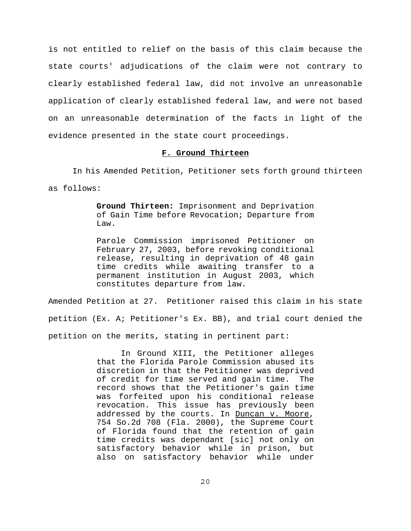is not entitled to relief on the basis of this claim because the state courts' adjudications of the claim were not contrary to clearly established federal law, did not involve an unreasonable application of clearly established federal law, and were not based on an unreasonable determination of the facts in light of the evidence presented in the state court proceedings.

## **F. Ground Thirteen**

In his Amended Petition, Petitioner sets forth ground thirteen as follows:

> **Ground Thirteen:** Imprisonment and Deprivation of Gain Time before Revocation; Departure from Law.

> Parole Commission imprisoned Petitioner on February 27, 2003, before revoking conditional release, resulting in deprivation of 48 gain time credits while awaiting transfer to a permanent institution in August 2003, which constitutes departure from law.

Amended Petition at 27. Petitioner raised this claim in his state petition (Ex. A; Petitioner's Ex. BB), and trial court denied the petition on the merits, stating in pertinent part:

> In Ground XIII, the Petitioner alleges that the Florida Parole Commission abused its discretion in that the Petitioner was deprived of credit for time served and gain time. The record shows that the Petitioner's gain time was forfeited upon his conditional release revocation. This issue has previously been addressed by the courts. In Duncan v. Moore, 754 So.2d 708 (Fla. 2000), the Supreme Court of Florida found that the retention of gain time credits was dependant [sic] not only on satisfactory behavior while in prison, but also on satisfactory behavior while under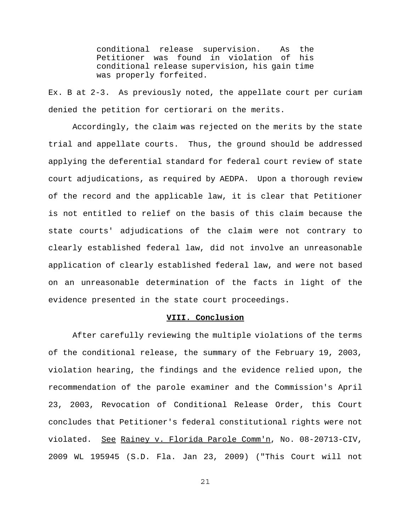conditional release supervision. As the Petitioner was found in violation of his conditional release supervision, his gain time was properly forfeited.

Ex. B at 2-3. As previously noted, the appellate court per curiam denied the petition for certiorari on the merits.

Accordingly, the claim was rejected on the merits by the state trial and appellate courts. Thus, the ground should be addressed applying the deferential standard for federal court review of state court adjudications, as required by AEDPA. Upon a thorough review of the record and the applicable law, it is clear that Petitioner is not entitled to relief on the basis of this claim because the state courts' adjudications of the claim were not contrary to clearly established federal law, did not involve an unreasonable application of clearly established federal law, and were not based on an unreasonable determination of the facts in light of the evidence presented in the state court proceedings.

# **VIII. Conclusion**

After carefully reviewing the multiple violations of the terms of the conditional release, the summary of the February 19, 2003, violation hearing, the findings and the evidence relied upon, the recommendation of the parole examiner and the Commission's April 23, 2003, Revocation of Conditional Release Order, this Court concludes that Petitioner's federal constitutional rights were not violated. See Rainey v. Florida Parole Comm'n, No. 08-20713-CIV, 2009 WL 195945 (S.D. Fla. Jan 23, 2009) ("This Court will not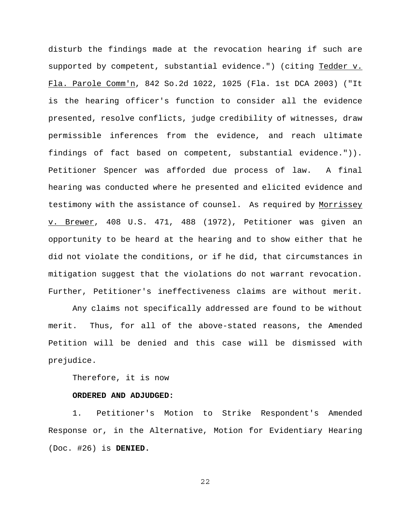disturb the findings made at the revocation hearing if such are supported by competent, substantial evidence.") (citing Tedder v. Fla. Parole Comm'n, 842 So.2d 1022, 1025 (Fla. 1st DCA 2003) ("It is the hearing officer's function to consider all the evidence presented, resolve conflicts, judge credibility of witnesses, draw permissible inferences from the evidence, and reach ultimate findings of fact based on competent, substantial evidence.")). Petitioner Spencer was afforded due process of law. A final hearing was conducted where he presented and elicited evidence and testimony with the assistance of counsel. As required by Morrissey v. Brewer, 408 U.S. 471, 488 (1972), Petitioner was given an opportunity to be heard at the hearing and to show either that he did not violate the conditions, or if he did, that circumstances in mitigation suggest that the violations do not warrant revocation. Further, Petitioner's ineffectiveness claims are without merit.

Any claims not specifically addressed are found to be without merit. Thus, for all of the above-stated reasons, the Amended Petition will be denied and this case will be dismissed with prejudice.

## Therefore, it is now

## **ORDERED AND ADJUDGED:**

1. Petitioner's Motion to Strike Respondent's Amended Response or, in the Alternative, Motion for Evidentiary Hearing (Doc. #26) is **DENIED.**